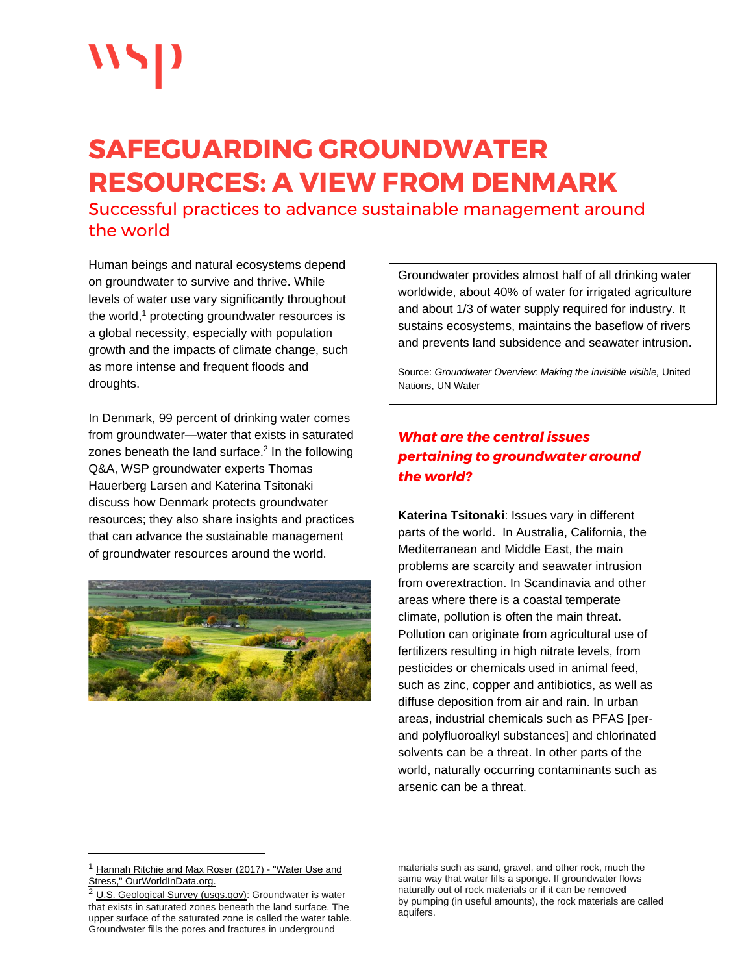# **SAFEGUARDING GROUNDWATER RESOURCES: A VIEW FROM DENMARK**

Successful practices to advance sustainable management around the world

Human beings and natural ecosystems depend on groundwater to survive and thrive. While levels of water use vary significantly throughout the world, <sup>1</sup> protecting groundwater resources is a global necessity, especially with population growth and the impacts of climate change, such as more intense and frequent floods and droughts.

In Denmark, 99 percent of drinking water comes from groundwater—water that exists in saturated zones beneath the land surface. $2$  In the following Q&A, WSP groundwater experts Thomas Hauerberg Larsen and Katerina Tsitonaki discuss how Denmark protects groundwater resources; they also share insights and practices that can advance the sustainable management of groundwater resources around the world.



Groundwater provides almost half of all drinking water worldwide, about 40% of water for irrigated agriculture and about 1/3 of water supply required for industry. It sustains ecosystems, maintains the baseflow of rivers and prevents land subsidence and seawater intrusion.

Source: *[Groundwater Overview: Making the invisible visible,](https://www.unwater.org/publications/groundwater-overview-making-the-invisible-visible/)* United Nations, UN Water

# *What are the central issues pertaining to groundwater around the world?*

**Katerina Tsitonaki**: Issues vary in different parts of the world. In Australia, California, the Mediterranean and Middle East, the main problems are scarcity and seawater intrusion from overextraction. In Scandinavia and other areas where there is a coastal temperate climate, pollution is often the main threat. Pollution can originate from agricultural use of fertilizers resulting in high nitrate levels, from pesticides or chemicals used in animal feed, such as zinc, copper and antibiotics, as well as diffuse deposition from air and rain. In urban areas, industrial chemicals such as PFAS [perand polyfluoroalkyl substances] and chlorinated solvents can be a threat. In other parts of the world, naturally occurring contaminants such as arsenic can be a threat.

<sup>&</sup>lt;sup>1</sup> [Hannah Ritchie and Max Roser \(2017\) -](https://ourworldindata.org/water-use-stress) "Water Use and [Stress," OurWorldInData.org.](https://ourworldindata.org/water-use-stress)

<sup>&</sup>lt;sup>2</sup> [U.S. Geological Survey \(usgs.gov\):](https://www.usgs.gov/faqs/what-groundwater) Groundwater is water that exists in saturated zones beneath the land surface. The upper surface of the saturated zone is called the water table. Groundwater fills the pores and fractures in underground

materials such as sand, gravel, and other rock, much the same way that water fills a sponge. If groundwater flows naturally out of rock materials or if it can be removed by pumping (in useful amounts), the rock materials are called aquifers.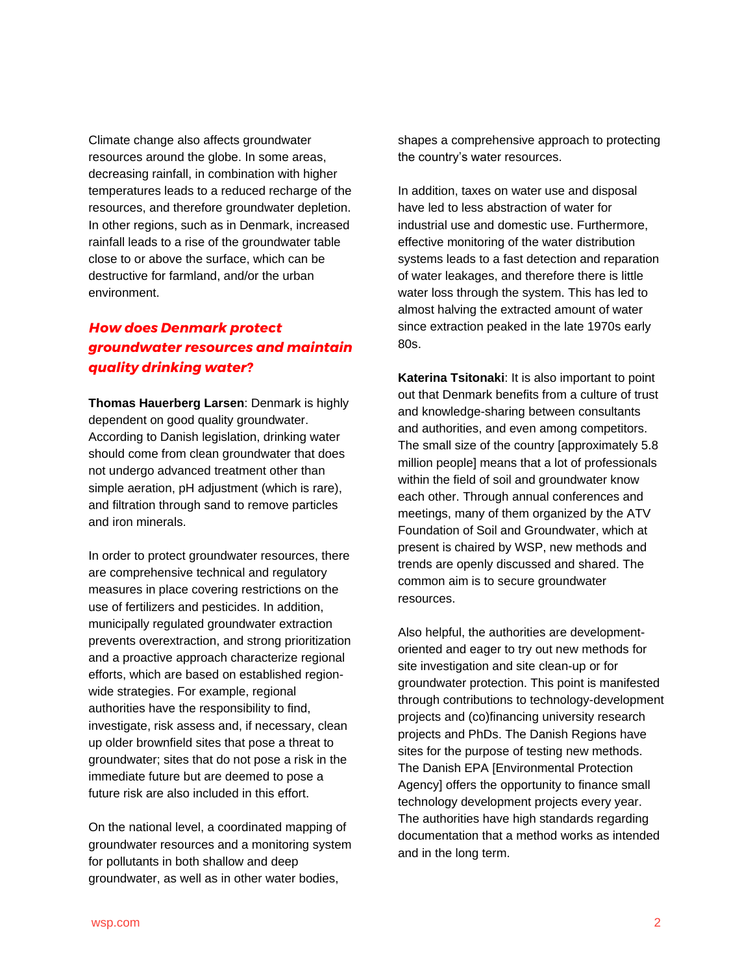Climate change also affects groundwater resources around the globe. In some areas, decreasing rainfall, in combination with higher temperatures leads to a reduced recharge of the resources, and therefore groundwater depletion. In other regions, such as in Denmark, increased rainfall leads to a rise of the groundwater table close to or above the surface, which can be destructive for farmland, and/or the urban environment.

### *How does Denmark protect groundwater resources and maintain quality drinking water?*

**Thomas Hauerberg Larsen**: Denmark is highly dependent on good quality groundwater. According to Danish legislation, drinking water should come from clean groundwater that does not undergo advanced treatment other than simple aeration, pH adjustment (which is rare), and filtration through sand to remove particles and iron minerals.

In order to protect groundwater resources, there are comprehensive technical and regulatory measures in place covering restrictions on the use of fertilizers and pesticides. In addition, municipally regulated groundwater extraction prevents overextraction, and strong prioritization and a proactive approach characterize regional efforts, which are based on established regionwide strategies. For example, regional authorities have the responsibility to find, investigate, risk assess and, if necessary, clean up older brownfield sites that pose a threat to groundwater; sites that do not pose a risk in the immediate future but are deemed to pose a future risk are also included in this effort.

On the national level, a coordinated mapping of groundwater resources and a monitoring system for pollutants in both shallow and deep groundwater, as well as in other water bodies,

shapes a comprehensive approach to protecting the country's water resources.

In addition, taxes on water use and disposal have led to less abstraction of water for industrial use and domestic use. Furthermore, effective monitoring of the water distribution systems leads to a fast detection and reparation of water leakages, and therefore there is little water loss through the system. This has led to almost halving the extracted amount of water since extraction peaked in the late 1970s early 80s.

**Katerina Tsitonaki**: It is also important to point out that Denmark benefits from a culture of trust and knowledge-sharing between consultants and authorities, and even among competitors. The small size of the country [approximately 5.8 million people] means that a lot of professionals within the field of soil and groundwater know each other. Through annual conferences and meetings, many of them organized by the ATV Foundation of Soil and Groundwater, which at present is chaired by WSP, new methods and trends are openly discussed and shared. The common aim is to secure groundwater resources.

Also helpful, the authorities are developmentoriented and eager to try out new methods for site investigation and site clean-up or for groundwater protection. This point is manifested through contributions to technology-development projects and (co)financing university research projects and PhDs. The Danish Regions have sites for the purpose of testing new methods. The Danish EPA [Environmental Protection Agency] offers the opportunity to finance small technology development projects every year. The authorities have high standards regarding documentation that a method works as intended and in the long term.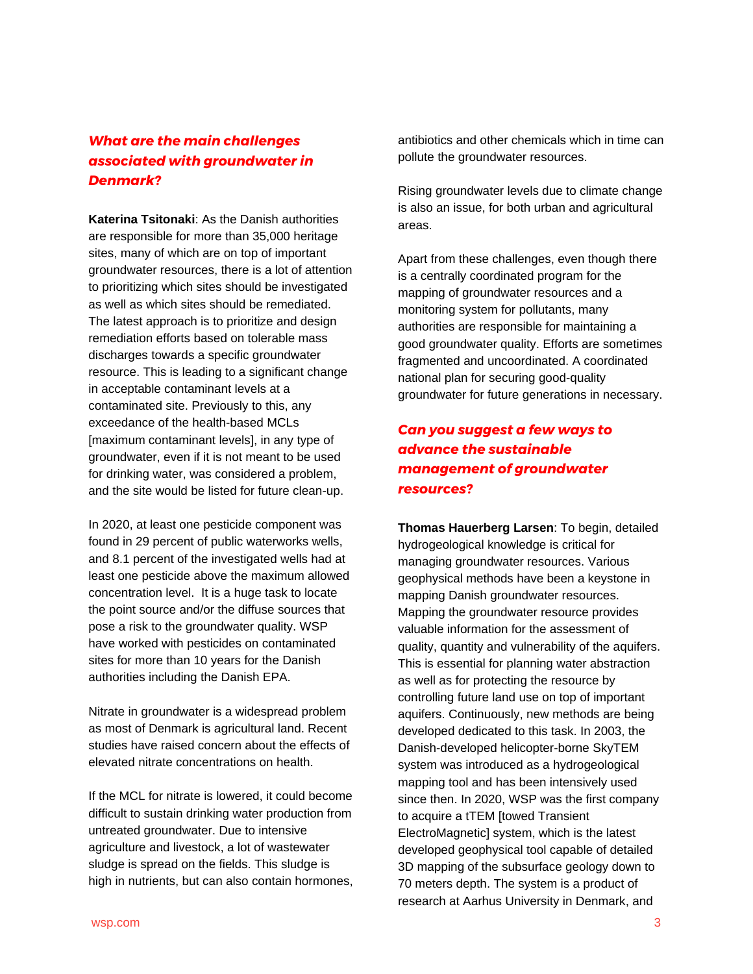# *What are the main challenges associated with groundwater in Denmark?*

**Katerina Tsitonaki**: As the Danish authorities are responsible for more than 35,000 heritage sites, many of which are on top of important groundwater resources, there is a lot of attention to prioritizing which sites should be investigated as well as which sites should be remediated. The latest approach is to prioritize and design remediation efforts based on tolerable mass discharges towards a specific groundwater resource. This is leading to a significant change in acceptable contaminant levels at a contaminated site. Previously to this, any exceedance of the health-based MCLs [maximum contaminant levels], in any type of groundwater, even if it is not meant to be used for drinking water, was considered a problem, and the site would be listed for future clean-up.

In 2020, at least one pesticide component was found in 29 percent of public waterworks wells, and 8.1 percent of the investigated wells had at least one pesticide above the maximum allowed concentration level. It is a huge task to locate the point source and/or the diffuse sources that pose a risk to the groundwater quality. WSP have worked with pesticides on contaminated sites for more than 10 years for the Danish authorities including the Danish EPA.

Nitrate in groundwater is a widespread problem as most of Denmark is agricultural land. Recent studies have raised concern about the effects of elevated nitrate concentrations on health.

If the MCL for nitrate is lowered, it could become difficult to sustain drinking water production from untreated groundwater. Due to intensive agriculture and livestock, a lot of wastewater sludge is spread on the fields. This sludge is high in nutrients, but can also contain hormones, antibiotics and other chemicals which in time can pollute the groundwater resources.

Rising groundwater levels due to climate change is also an issue, for both urban and agricultural areas.

Apart from these challenges, even though there is a centrally coordinated program for the mapping of groundwater resources and a monitoring system for pollutants, many authorities are responsible for maintaining a good groundwater quality. Efforts are sometimes fragmented and uncoordinated. A coordinated national plan for securing good-quality groundwater for future generations in necessary.

# *Can you suggest a few ways to advance the sustainable management of groundwater resources?*

**Thomas Hauerberg Larsen**: To begin, detailed hydrogeological knowledge is critical for managing groundwater resources. Various geophysical methods have been a keystone in mapping Danish groundwater resources. Mapping the groundwater resource provides valuable information for the assessment of quality, quantity and vulnerability of the aquifers. This is essential for planning water abstraction as well as for protecting the resource by controlling future land use on top of important aquifers. Continuously, new methods are being developed dedicated to this task. In 2003, the Danish-developed helicopter-borne SkyTEM system was introduced as a hydrogeological mapping tool and has been intensively used since then. In 2020, WSP was the first company to acquire a tTEM [towed Transient ElectroMagnetic] system, which is the latest developed geophysical tool capable of detailed 3D mapping of the subsurface geology down to 70 meters depth. The system is a product of research at Aarhus University in Denmark, and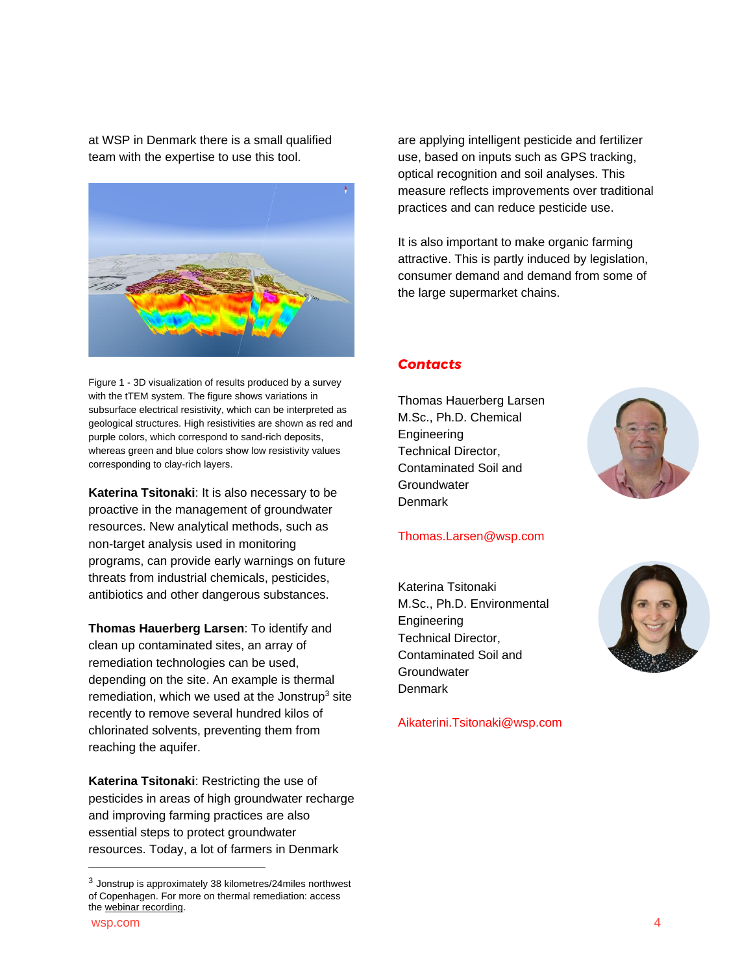at WSP in Denmark there is a small qualified team with the expertise to use this tool.



Figure 1 - 3D visualization of results produced by a survey with the tTEM system. The figure shows variations in subsurface electrical resistivity, which can be interpreted as geological structures. High resistivities are shown as red and purple colors, which correspond to sand-rich deposits, whereas green and blue colors show low resistivity values corresponding to clay-rich layers.

**Katerina Tsitonaki**: It is also necessary to be proactive in the management of groundwater resources. New analytical methods, such as non-target analysis used in monitoring programs, can provide early warnings on future threats from industrial chemicals, pesticides, antibiotics and other dangerous substances.

**Thomas Hauerberg Larsen**: To identify and clean up contaminated sites, an array of remediation technologies can be used, depending on the site. An example is thermal remediation, which we used at the Jonstrup $3$  site recently to remove several hundred kilos of chlorinated solvents, preventing them from reaching the aquifer.

**Katerina Tsitonaki**: Restricting the use of pesticides in areas of high groundwater recharge and improving farming practices are also essential steps to protect groundwater resources. Today, a lot of farmers in Denmark

are applying intelligent pesticide and fertilizer use, based on inputs such as GPS tracking, optical recognition and soil analyses. This measure reflects improvements over traditional practices and can reduce pesticide use.

It is also important to make organic farming attractive. This is partly induced by legislation, consumer demand and demand from some of the large supermarket chains.

#### *Contacts*

Thomas Hauerberg Larsen M.Sc., Ph.D. Chemical Engineering Technical Director, Contaminated Soil and **Groundwater Denmark** 



#### [Thomas.Larsen@wsp.com](mailto:Thomas.Larsen@wsp.com)

Katerina Tsitonaki M.Sc., Ph.D. Environmental Engineering Technical Director, Contaminated Soil and **Groundwater Denmark** 



[Aikaterini.Tsitonaki@wsp.com](mailto:Aikaterini.Tsitonaki@wsp.com)

 $3$  Jonstrup is approximately 38 kilometres/24miles northwest of Copenhagen. For more on thermal remediation: access th[e webinar recording.](https://www.youtube.com/watch?v=iNgKKo4XzYQ&list=PLbETFd8T6RagdHtm5dozGSN2WeWQErSx0&index=24)